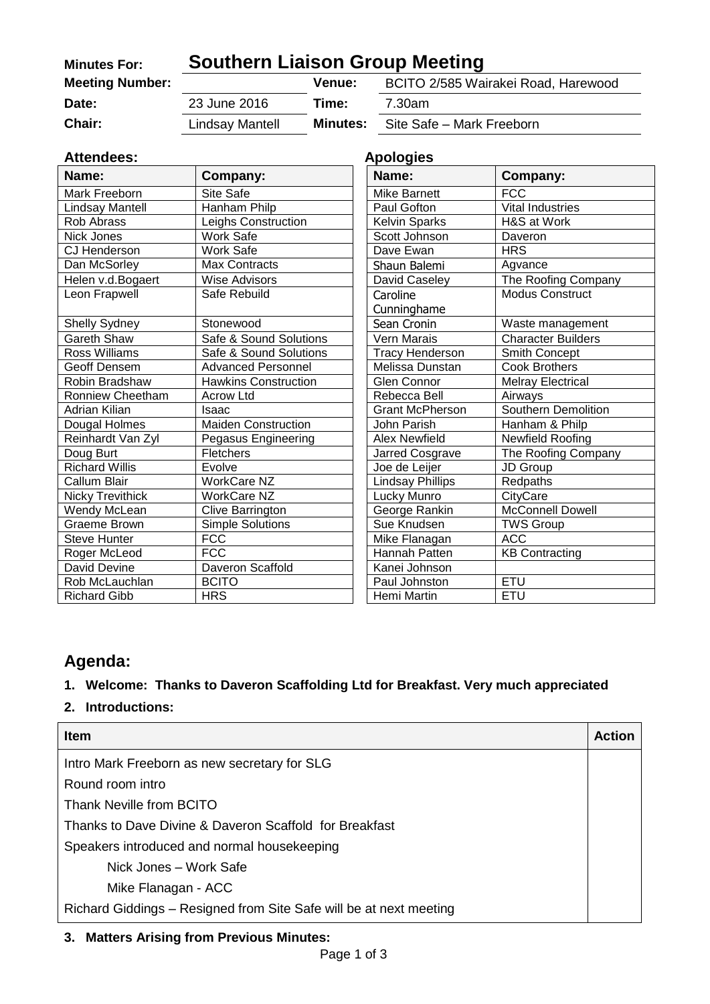| <b>Minutes For:</b>    | <b>Southern Liaison Group Meeting</b> |                 |                                     |
|------------------------|---------------------------------------|-----------------|-------------------------------------|
| <b>Meeting Number:</b> |                                       | Venue:          | BCITO 2/585 Wairakei Road, Harewood |
| Date:                  | 23 June 2016                          | Time:           | 7.30am                              |
| <b>Chair:</b>          | Lindsay Mantell                       | <b>Minutes:</b> | Site Safe - Mark Freeborn           |

| <b>Attendees:</b>       | <b>Apologies</b>            |                         |                           |
|-------------------------|-----------------------------|-------------------------|---------------------------|
| Name:                   | Company:                    | Name:                   | Company:                  |
| Mark Freeborn           | Site Safe                   | <b>Mike Barnett</b>     | <b>FCC</b>                |
| Lindsay Mantell         | Hanham Philp                | Paul Gofton             | <b>Vital Industries</b>   |
| Rob Abrass              | Leighs Construction         | <b>Kelvin Sparks</b>    | H&S at Work               |
| Nick Jones              | <b>Work Safe</b>            | Scott Johnson           | Daveron                   |
| CJ Henderson            | <b>Work Safe</b>            | Dave Ewan               | <b>HRS</b>                |
| Dan McSorley            | <b>Max Contracts</b>        | Shaun Balemi            | Agvance                   |
| Helen v.d.Bogaert       | <b>Wise Advisors</b>        | David Caseley           | The Roofing Company       |
| Leon Frapwell           | Safe Rebuild                | Caroline                | <b>Modus Construct</b>    |
|                         |                             | Cunninghame             |                           |
| <b>Shelly Sydney</b>    | Stonewood                   | Sean Cronin             | Waste management          |
| <b>Gareth Shaw</b>      | Safe & Sound Solutions      | Vern Marais             | <b>Character Builders</b> |
| Ross Williams           | Safe & Sound Solutions      | <b>Tracy Henderson</b>  | Smith Concept             |
| Geoff Densem            | <b>Advanced Personnel</b>   | Melissa Dunstan         | <b>Cook Brothers</b>      |
| Robin Bradshaw          | <b>Hawkins Construction</b> | Glen Connor             | <b>Melray Electrical</b>  |
| Ronniew Cheetham        | <b>Acrow Ltd</b>            | Rebecca Bell            | Airways                   |
| Adrian Kilian           | Isaac                       | <b>Grant McPherson</b>  | Southern Demolition       |
| Dougal Holmes           | <b>Maiden Construction</b>  | John Parish             | Hanham & Philp            |
| Reinhardt Van Zyl       | Pegasus Engineering         | <b>Alex Newfield</b>    | Newfield Roofing          |
| Doug Burt               | Fletchers                   | Jarred Cosgrave         | The Roofing Company       |
| <b>Richard Willis</b>   | Evolve                      | Joe de Leijer           | JD Group                  |
| Callum Blair            | <b>WorkCare NZ</b>          | <b>Lindsay Phillips</b> | Redpaths                  |
| <b>Nicky Trevithick</b> | <b>WorkCare NZ</b>          | Lucky Munro             | CityCare                  |
| Wendy McLean            | Clive Barrington            | George Rankin           | <b>McConnell Dowell</b>   |
| <b>Graeme Brown</b>     | <b>Simple Solutions</b>     | Sue Knudsen             | <b>TWS Group</b>          |
| <b>Steve Hunter</b>     | <b>FCC</b>                  | Mike Flanagan           | <b>ACC</b>                |
| Roger McLeod            | <b>FCC</b>                  | Hannah Patten           | <b>KB Contracting</b>     |
| David Devine            | Daveron Scaffold            | Kanei Johnson           |                           |
| Rob McLauchlan          | <b>BCITO</b>                | Paul Johnston           | <b>ETU</b>                |
| <b>Richard Gibb</b>     | <b>HRS</b>                  | Hemi Martin             | ETU                       |

| <b>Apologies</b>       |                           |
|------------------------|---------------------------|
| Name:                  | Company:                  |
| <b>Mike Barnett</b>    | <b>FCC</b>                |
| Paul Gofton            | Vital Industries          |
| <b>Kelvin Sparks</b>   | H&S at Work               |
| Scott Johnson          | Daveron                   |
| Dave Ewan              | <b>HRS</b>                |
| Shaun Balemi           | Agvance                   |
| David Caseley          | The Roofing Company       |
| Caroline               | Modus Construct           |
| Cunninghame            |                           |
| Sean Cronin            | Waste management          |
| Vern Marais            | <b>Character Builders</b> |
| <b>Tracy Henderson</b> | Smith Concept             |
| Melissa Dunstan        | <b>Cook Brothers</b>      |
| Glen Connor            | <b>Melray Electrical</b>  |
| Rebecca Bell           | Airways                   |
| <b>Grant McPherson</b> | Southern Demolition       |
| John Parish            | Hanham & Philp            |
| <b>Alex Newfield</b>   | Newfield Roofing          |
| Jarred Cosgrave        | The Roofing Company       |
| Joe de Leijer          | JD Group                  |
| Lindsay Phillips       | Redpaths                  |
| Lucky Munro            | CityCare                  |
| George Rankin          | <b>McConnell Dowell</b>   |
| Sue Knudsen            | <b>TWS Group</b>          |
| Mike Flanagan          | <b>ACC</b>                |
| Hannah Patten          | <b>KB Contracting</b>     |
| Kanei Johnson          |                           |
| Paul Johnston          | ETU                       |
| Hemi Martin            | <b>ETU</b>                |

# **Agenda:**

### **1. Welcome: Thanks to Daveron Scaffolding Ltd for Breakfast. Very much appreciated**

**2. Introductions:**

| <b>Item</b>                                                        | <b>Action</b> |
|--------------------------------------------------------------------|---------------|
| Intro Mark Freeborn as new secretary for SLG                       |               |
| Round room intro                                                   |               |
| Thank Neville from BCITO                                           |               |
| Thanks to Dave Divine & Daveron Scaffold for Breakfast             |               |
| Speakers introduced and normal housekeeping                        |               |
| Nick Jones – Work Safe                                             |               |
| Mike Flanagan - ACC                                                |               |
| Richard Giddings – Resigned from Site Safe will be at next meeting |               |

#### **3. Matters Arising from Previous Minutes:**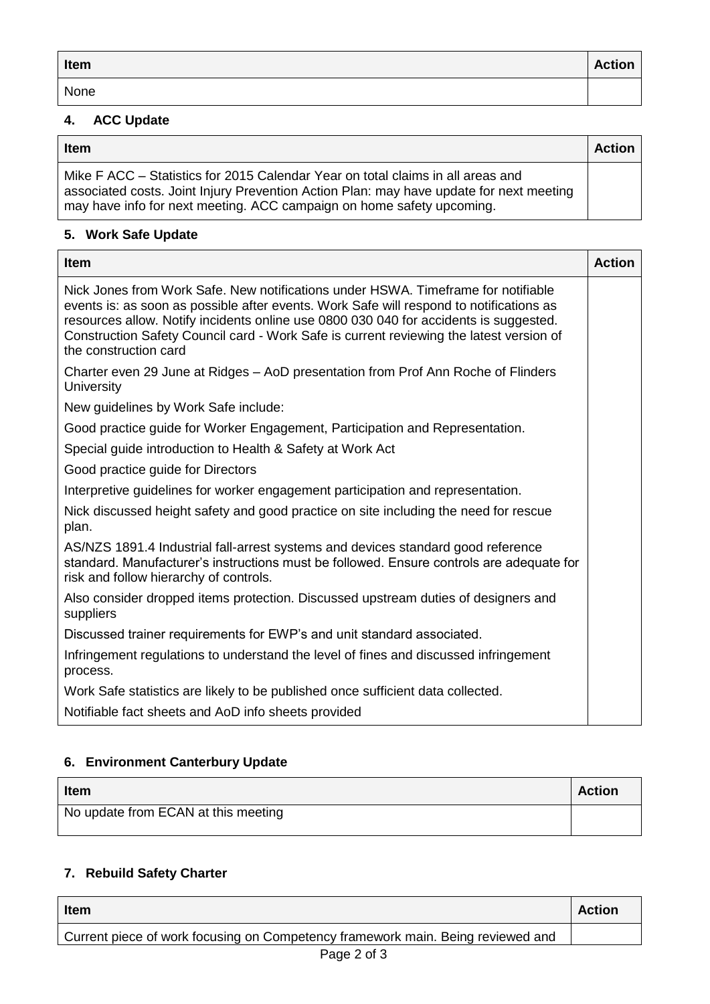| Item | <b>Action</b> |
|------|---------------|
| None |               |

## **4. ACC Update**

| <b>Item</b>                                                                                                                                                                                                                                         | <b>Action</b> |
|-----------------------------------------------------------------------------------------------------------------------------------------------------------------------------------------------------------------------------------------------------|---------------|
| Mike F ACC – Statistics for 2015 Calendar Year on total claims in all areas and<br>associated costs. Joint Injury Prevention Action Plan: may have update for next meeting<br>may have info for next meeting. ACC campaign on home safety upcoming. |               |

#### **5. Work Safe Update**

| <b>Item</b>                                                                                                                                                                                                                                                                                                                                                                               | <b>Action</b> |
|-------------------------------------------------------------------------------------------------------------------------------------------------------------------------------------------------------------------------------------------------------------------------------------------------------------------------------------------------------------------------------------------|---------------|
| Nick Jones from Work Safe. New notifications under HSWA. Timeframe for notifiable<br>events is: as soon as possible after events. Work Safe will respond to notifications as<br>resources allow. Notify incidents online use 0800 030 040 for accidents is suggested.<br>Construction Safety Council card - Work Safe is current reviewing the latest version of<br>the construction card |               |
| Charter even 29 June at Ridges - AoD presentation from Prof Ann Roche of Flinders<br><b>University</b>                                                                                                                                                                                                                                                                                    |               |
| New guidelines by Work Safe include:                                                                                                                                                                                                                                                                                                                                                      |               |
| Good practice guide for Worker Engagement, Participation and Representation.                                                                                                                                                                                                                                                                                                              |               |
| Special guide introduction to Health & Safety at Work Act                                                                                                                                                                                                                                                                                                                                 |               |
| Good practice guide for Directors                                                                                                                                                                                                                                                                                                                                                         |               |
| Interpretive guidelines for worker engagement participation and representation.                                                                                                                                                                                                                                                                                                           |               |
| Nick discussed height safety and good practice on site including the need for rescue<br>plan.                                                                                                                                                                                                                                                                                             |               |
| AS/NZS 1891.4 Industrial fall-arrest systems and devices standard good reference<br>standard. Manufacturer's instructions must be followed. Ensure controls are adequate for<br>risk and follow hierarchy of controls.                                                                                                                                                                    |               |
| Also consider dropped items protection. Discussed upstream duties of designers and<br>suppliers                                                                                                                                                                                                                                                                                           |               |
| Discussed trainer requirements for EWP's and unit standard associated.                                                                                                                                                                                                                                                                                                                    |               |
| Infringement regulations to understand the level of fines and discussed infringement<br>process.                                                                                                                                                                                                                                                                                          |               |
| Work Safe statistics are likely to be published once sufficient data collected.                                                                                                                                                                                                                                                                                                           |               |
| Notifiable fact sheets and AoD info sheets provided                                                                                                                                                                                                                                                                                                                                       |               |

#### **6. Environment Canterbury Update**

| <b>Item</b>                         | <b>Action</b> |
|-------------------------------------|---------------|
| No update from ECAN at this meeting |               |

## **7. Rebuild Safety Charter**

| <b>Item</b>                                                                     | <b>Action</b> |
|---------------------------------------------------------------------------------|---------------|
| Current piece of work focusing on Competency framework main. Being reviewed and |               |
|                                                                                 |               |